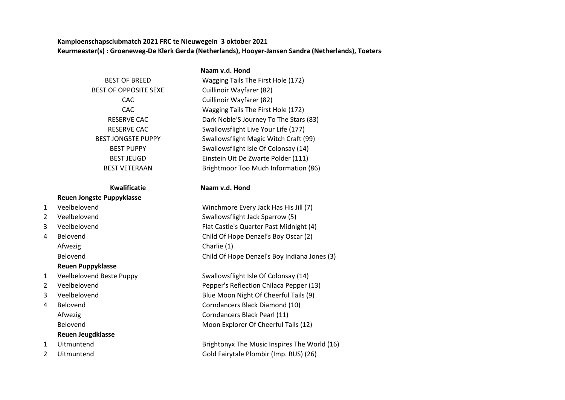**Kampioenschapsclubmatch 2021 FRC te Nieuwegein 3 oktober 2021** Keurmeester(s) : Groeneweg-De Klerk Gerda (Netherlands), Hooyer-Jansen Sandra (Netherlands), Toeters

**Naam v.d. Hond**

## BEST OF BREED BEST OF OPPOSITE SEXE RESERVE CAC RESERVE CAC BEST JONGSTE PUPPY **BEST PUPPY** BEST JEUGD **BEST VETERAAN**

# **Reuen Jongste Puppyklasse**

Afwezig Charlie (1) **Reuen Puppyklasse**

### **Reuen Jeugdklasse**

- 
- 

| OF BREED            | Wagging Tails The First Hole (172)     |
|---------------------|----------------------------------------|
| <b>PPOSITE SEXE</b> | Cuillinoir Wayfarer (82)               |
| CAC.                | Cuillinoir Wayfarer (82)               |
| CAC.                | Wagging Tails The First Hole (172)     |
| <b>RVE CAC</b>      | Dark Noble'S Journey To The Stars (83) |
| <b>RVE CAC</b>      | Swallowsflight Live Your Life (177)    |
| IGSTE PUPPY         | Swallowsflight Magic Witch Craft (99)  |
| T PUPPY             | Swallowsflight Isle Of Colonsay (14)   |
| T JEUGD             | Einstein Uit De Zwarte Polder (111)    |
| /ETERAAN            | Brightmoor Too Much Information (86)   |

#### **Kwalificatie Naam v.d. Hond**

1 Veelbelovend Winchmore Every Jack Has His Jill (7) 2 Veelbelovend Swallowsflight Jack Sparrow (5) 3 Veelbelovend Flat Castle's Quarter Past Midnight (4) 4 Belovend Child Of Hope Denzel's Boy Oscar (2) Belovend Child Of Hope Denzel's Boy Indiana Jones (3)

1 Veelbelovend Beste Puppy Swallowsflight Isle Of Colonsay (14) 2 Veelbelovend Pepper's Reflection Chilaca Pepper (13) 3 Veelbelovend Blue Moon Night Of Cheerful Tails (9) 4 Belovend Corndancers Black Diamond (10) Afwezig **Corndancers Black Pearl (11)** Belovend Moon Explorer Of Cheerful Tails (12)

1 Uitmuntend Brightonyx The Music Inspires The World (16) 2 Uitmuntend Gold Fairytale Plombir (Imp. RUS) (26)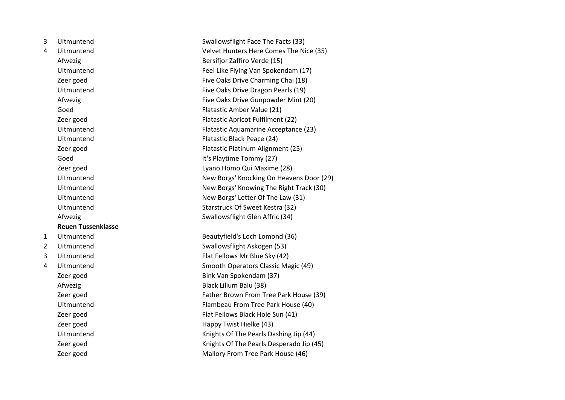| 3              | Uitmuntend                | Swallowsflight Face The Facts (33)       |
|----------------|---------------------------|------------------------------------------|
| $\overline{4}$ | Uitmuntend                | Velvet Hunters Here Comes The Nice (35)  |
|                | Afwezig                   | Bersifjor Zaffiro Verde (15)             |
|                | Uitmuntend                | Feel Like Flying Van Spokendam (17)      |
|                | Zeer goed                 | Five Oaks Drive Charming Chai (18)       |
|                | Uitmuntend                | Five Oaks Drive Dragon Pearls (19)       |
|                | Afwezig                   | Five Oaks Drive Gunpowder Mint (20)      |
|                | Goed                      | Flatastic Amber Value (21)               |
|                | Zeer goed                 | Flatastic Apricot Fulfilment (22)        |
|                | Uitmuntend                | Flatastic Aquamarine Acceptance (23)     |
|                | Uitmuntend                | Flatastic Black Peace (24)               |
|                | Zeer goed                 | Flatastic Platinum Alignment (25)        |
|                | Goed                      | It's Playtime Tommy (27)                 |
|                | Zeer goed                 | Lyano Homo Qui Maxime (28)               |
|                | Uitmuntend                | New Borgs' Knocking On Heavens Door (29) |
|                | Uitmuntend                | New Borgs' Knowing The Right Track (30)  |
|                | Uitmuntend                | New Borgs' Letter Of The Law (31)        |
|                | Uitmuntend                | Starstruck Of Sweet Kestra (32)          |
|                | Afwezig                   | Swallowsflight Glen Affric (34)          |
|                | <b>Reuen Tussenklasse</b> |                                          |
| 1              | Uitmuntend                | Beautyfield's Loch Lomond (36)           |
| $\overline{2}$ | Uitmuntend                | Swallowsflight Askogen (53)              |
| 3              | Uitmuntend                | Flat Fellows Mr Blue Sky (42)            |
| 4              | Uitmuntend                | Smooth Operators Classic Magic (49)      |
|                | Zeer goed                 | Bink Van Spokendam (37)                  |
|                | Afwezig                   | Black Lilium Balu (38)                   |
|                | Zeer goed                 | Father Brown From Tree Park House (39)   |
|                | Uitmuntend                | Flambeau From Tree Park House (40)       |
|                | Zeer goed                 | Flat Fellows Black Hole Sun (41)         |
|                | Zeer goed                 | Happy Twist Hielke (43)                  |
|                | Uitmuntend                | Knights Of The Pearls Dashing Jip (44)   |
|                | Zeer goed                 | Knights Of The Pearls Desperado Jip (45) |
|                | Zeer goed                 | Mallory From Tree Park House (46)        |
|                |                           |                                          |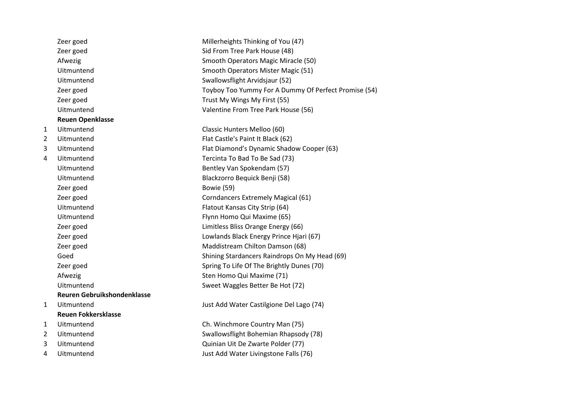|                | Zeer goed                   | Millerheights Thinking of You (47)                   |
|----------------|-----------------------------|------------------------------------------------------|
|                | Zeer goed                   | Sid From Tree Park House (48)                        |
|                | Afwezig                     | Smooth Operators Magic Miracle (50)                  |
|                | Uitmuntend                  | Smooth Operators Mister Magic (51)                   |
|                | Uitmuntend                  | Swallowsflight Arvidsjaur (52)                       |
|                | Zeer goed                   | Toyboy Too Yummy For A Dummy Of Perfect Promise (54) |
|                | Zeer goed                   | Trust My Wings My First (55)                         |
|                | Uitmuntend                  | Valentine From Tree Park House (56)                  |
|                | <b>Reuen Openklasse</b>     |                                                      |
| 1              | Uitmuntend                  | Classic Hunters Melloo (60)                          |
| $\overline{2}$ | Uitmuntend                  | Flat Castle's Paint It Black (62)                    |
| 3              | Uitmuntend                  | Flat Diamond's Dynamic Shadow Cooper (63)            |
| $\overline{4}$ | Uitmuntend                  | Tercinta To Bad To Be Sad (73)                       |
|                | Uitmuntend                  | Bentley Van Spokendam (57)                           |
|                | Uitmuntend                  | Blackzorro Bequick Benji (58)                        |
|                | Zeer goed                   | Bowie (59)                                           |
|                | Zeer goed                   | Corndancers Extremely Magical (61)                   |
|                | Uitmuntend                  | Flatout Kansas City Strip (64)                       |
|                | Uitmuntend                  | Flynn Homo Qui Maxime (65)                           |
|                | Zeer goed                   | Limitless Bliss Orange Energy (66)                   |
|                | Zeer goed                   | Lowlands Black Energy Prince Hjari (67)              |
|                | Zeer goed                   | Maddistream Chilton Damson (68)                      |
|                | Goed                        | Shining Stardancers Raindrops On My Head (69)        |
|                | Zeer goed                   | Spring To Life Of The Brightly Dunes (70)            |
|                | Afwezig                     | Sten Homo Qui Maxime (71)                            |
|                | Uitmuntend                  | Sweet Waggles Better Be Hot (72)                     |
|                | Reuren Gebruikshondenklasse |                                                      |
| 1              | Uitmuntend                  | Just Add Water Castilgione Del Lago (74)             |
|                | <b>Reuen Fokkersklasse</b>  |                                                      |
| 1              | Uitmuntend                  | Ch. Winchmore Country Man (75)                       |
| $\overline{2}$ | Uitmuntend                  | Swallowsflight Bohemian Rhapsody (78)                |
| 3              | Uitmuntend                  | Quinian Uit De Zwarte Polder (77)                    |
| 4              | Uitmuntend                  | Just Add Water Livingstone Falls (76)                |
|                |                             |                                                      |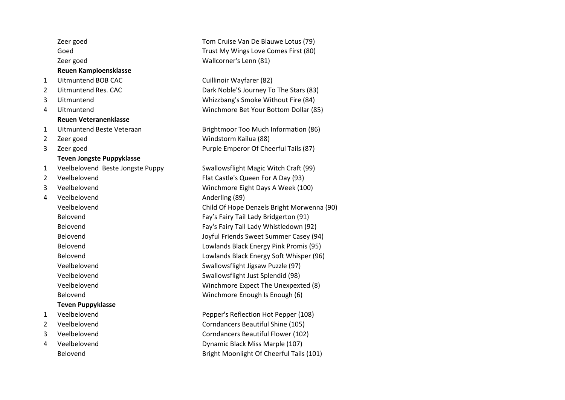|                | Zeer goed                        | Tom Cruise Van De Blauwe Lotus (79)        |
|----------------|----------------------------------|--------------------------------------------|
|                | Goed                             | Trust My Wings Love Comes First (80)       |
|                | Zeer goed                        | Wallcorner's Lenn (81)                     |
|                | <b>Reuen Kampioensklasse</b>     |                                            |
| 1              | <b>Uitmuntend BOB CAC</b>        | Cuillinoir Wayfarer (82)                   |
| $\overline{2}$ | Uitmuntend Res. CAC              | Dark Noble'S Journey To The Stars (83)     |
| 3              | Uitmuntend                       | Whizzbang's Smoke Without Fire (84)        |
| 4              | Uitmuntend                       | Winchmore Bet Your Bottom Dollar (85)      |
|                | <b>Reuen Veteranenklasse</b>     |                                            |
| $\mathbf{1}$   | Uitmuntend Beste Veteraan        | Brightmoor Too Much Information (86)       |
| $\overline{2}$ | Zeer goed                        | Windstorm Kailua (88)                      |
| 3              | Zeer goed                        | Purple Emperor Of Cheerful Tails (87)      |
|                | <b>Teven Jongste Puppyklasse</b> |                                            |
| $\mathbf{1}$   | Veelbelovend Beste Jongste Puppy | Swallowsflight Magic Witch Craft (99)      |
| $\overline{2}$ | Veelbelovend                     | Flat Castle's Queen For A Day (93)         |
| 3              | Veelbelovend                     | Winchmore Eight Days A Week (100)          |
| 4              | Veelbelovend                     | Anderling (89)                             |
|                | Veelbelovend                     | Child Of Hope Denzels Bright Morwenna (90) |
|                | Belovend                         | Fay's Fairy Tail Lady Bridgerton (91)      |
|                | Belovend                         | Fay's Fairy Tail Lady Whistledown (92)     |
|                | Belovend                         | Joyful Friends Sweet Summer Casey (94)     |
|                | Belovend                         | Lowlands Black Energy Pink Promis (95)     |
|                | Belovend                         | Lowlands Black Energy Soft Whisper (96)    |
|                | Veelbelovend                     | Swallowsflight Jigsaw Puzzle (97)          |
|                | Veelbelovend                     | Swallowsflight Just Splendid (98)          |
|                | Veelbelovend                     | Winchmore Expect The Unexpexted (8)        |
|                | Belovend                         | Winchmore Enough Is Enough (6)             |
|                | <b>Teven Puppyklasse</b>         |                                            |
| $\mathbf{1}$   | Veelbelovend                     | Pepper's Reflection Hot Pepper (108)       |
| $\overline{2}$ | Veelbelovend                     | Corndancers Beautiful Shine (105)          |
| 3              | Veelbelovend                     | Corndancers Beautiful Flower (102)         |
| 4              | Veelbelovend                     | Dynamic Black Miss Marple (107)            |
|                | Belovend                         | Bright Moonlight Of Cheerful Tails (101)   |
|                |                                  |                                            |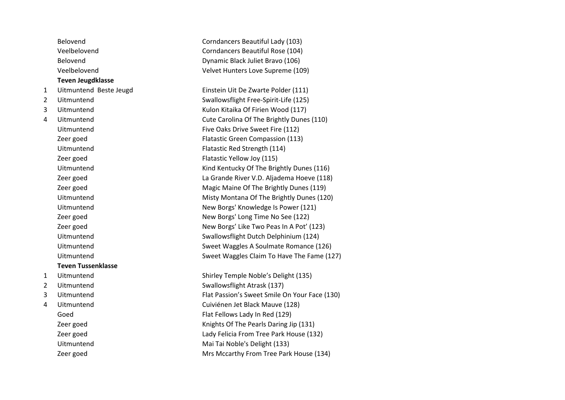|                | Belovend                  | Corndancers Beautiful Lady (103)              |
|----------------|---------------------------|-----------------------------------------------|
|                | Veelbelovend              | Corndancers Beautiful Rose (104)              |
|                | Belovend                  | Dynamic Black Juliet Bravo (106)              |
|                | Veelbelovend              | Velvet Hunters Love Supreme (109)             |
|                | <b>Teven Jeugdklasse</b>  |                                               |
| $\mathbf{1}$   | Uitmuntend Beste Jeugd    | Einstein Uit De Zwarte Polder (111)           |
| $\overline{2}$ | Uitmuntend                | Swallowsflight Free-Spirit-Life (125)         |
| 3              | Uitmuntend                | Kulon Kitaika Of Firien Wood (117)            |
| 4              | Uitmuntend                | Cute Carolina Of The Brightly Dunes (110)     |
|                | Uitmuntend                | Five Oaks Drive Sweet Fire (112)              |
|                | Zeer goed                 | Flatastic Green Compassion (113)              |
|                | Uitmuntend                | Flatastic Red Strength (114)                  |
|                | Zeer goed                 | Flatastic Yellow Joy (115)                    |
|                | Uitmuntend                | Kind Kentucky Of The Brightly Dunes (116)     |
|                | Zeer goed                 | La Grande River V.D. Aljadema Hoeve (118)     |
|                | Zeer goed                 | Magic Maine Of The Brightly Dunes (119)       |
|                | Uitmuntend                | Misty Montana Of The Brightly Dunes (120)     |
|                | Uitmuntend                | New Borgs' Knowledge Is Power (121)           |
|                | Zeer goed                 | New Borgs' Long Time No See (122)             |
|                | Zeer goed                 | New Borgs' Like Two Peas In A Pot' (123)      |
|                | Uitmuntend                | Swallowsflight Dutch Delphinium (124)         |
|                | Uitmuntend                | Sweet Waggles A Soulmate Romance (126)        |
|                | Uitmuntend                | Sweet Waggles Claim To Have The Fame (127)    |
|                | <b>Teven Tussenklasse</b> |                                               |
| $\mathbf{1}$   | Uitmuntend                | Shirley Temple Noble's Delight (135)          |
| $\overline{2}$ | Uitmuntend                | Swallowsflight Atrask (137)                   |
| 3              | Uitmuntend                | Flat Passion's Sweet Smile On Your Face (130) |
| 4              | Uitmuntend                | Cuiviénen Jet Black Mauve (128)               |
|                | Goed                      | Flat Fellows Lady In Red (129)                |
|                | Zeer goed                 | Knights Of The Pearls Daring Jip (131)        |
|                | Zeer goed                 | Lady Felicia From Tree Park House (132)       |
|                | Uitmuntend                | Mai Tai Noble's Delight (133)                 |
|                | Zeer goed                 | Mrs Mccarthy From Tree Park House (134)       |
|                |                           |                                               |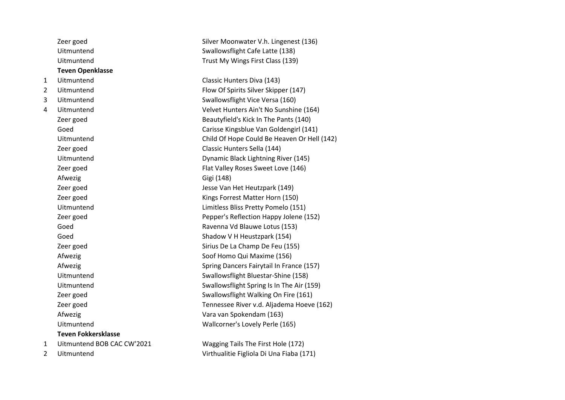|                | Zeer goed                  | Silver Moonwater V.h. Lingenest (136)       |
|----------------|----------------------------|---------------------------------------------|
|                | Uitmuntend                 | Swallowsflight Cafe Latte (138)             |
|                | Uitmuntend                 | Trust My Wings First Class (139)            |
|                | <b>Teven Openklasse</b>    |                                             |
| 1              | Uitmuntend                 | Classic Hunters Diva (143)                  |
| $\overline{2}$ | Uitmuntend                 | Flow Of Spirits Silver Skipper (147)        |
| 3              | Uitmuntend                 | Swallowsflight Vice Versa (160)             |
| 4              | Uitmuntend                 | Velvet Hunters Ain't No Sunshine (164)      |
|                | Zeer goed                  | Beautyfield's Kick In The Pants (140)       |
|                | Goed                       | Carisse Kingsblue Van Goldengirl (141)      |
|                | Uitmuntend                 | Child Of Hope Could Be Heaven Or Hell (142) |
|                | Zeer goed                  | Classic Hunters Sella (144)                 |
|                | Uitmuntend                 | Dynamic Black Lightning River (145)         |
|                | Zeer goed                  | Flat Valley Roses Sweet Love (146)          |
|                | Afwezig                    | Gigi (148)                                  |
|                | Zeer goed                  | Jesse Van Het Heutzpark (149)               |
|                | Zeer goed                  | Kings Forrest Matter Horn (150)             |
|                | Uitmuntend                 | Limitless Bliss Pretty Pomelo (151)         |
|                | Zeer goed                  | Pepper's Reflection Happy Jolene (152)      |
|                | Goed                       | Ravenna Vd Blauwe Lotus (153)               |
|                | Goed                       | Shadow V H Heustzpark (154)                 |
|                | Zeer goed                  | Sirius De La Champ De Feu (155)             |
|                | Afwezig                    | Soof Homo Qui Maxime (156)                  |
|                | Afwezig                    | Spring Dancers Fairytail In France (157)    |
|                | Uitmuntend                 | Swallowsflight Bluestar-Shine (158)         |
|                | Uitmuntend                 | Swallowsflight Spring Is In The Air (159)   |
|                | Zeer goed                  | Swallowsflight Walking On Fire (161)        |
|                | Zeer goed                  | Tennessee River v.d. Aljadema Hoeve (162)   |
|                | Afwezig                    | Vara van Spokendam (163)                    |
|                | Uitmuntend                 | Wallcorner's Lovely Perle (165)             |
|                | <b>Teven Fokkersklasse</b> |                                             |
| 1              | Uitmuntend BOB CAC CW'2021 | Wagging Tails The First Hole (172)          |
| $\overline{c}$ | Uitmuntend                 | Virthualitie Figliola Di Una Fiaba (171)    |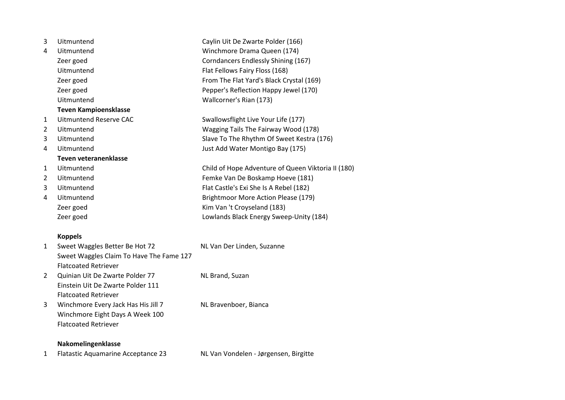| 3              | Uitmuntend                   | Caylin Uit De Zwarte Polder (166)                  |
|----------------|------------------------------|----------------------------------------------------|
| 4              | Uitmuntend                   | Winchmore Drama Queen (174)                        |
|                |                              |                                                    |
|                | Zeer goed                    | Corndancers Endlessly Shining (167)                |
|                | Uitmuntend                   | Flat Fellows Fairy Floss (168)                     |
|                | Zeer goed                    | From The Flat Yard's Black Crystal (169)           |
|                | Zeer goed                    | Pepper's Reflection Happy Jewel (170)              |
|                | Uitmuntend                   | Wallcorner's Rian (173)                            |
|                | <b>Teven Kampioensklasse</b> |                                                    |
| $\mathbf{1}$   | Uitmuntend Reserve CAC       | Swallowsflight Live Your Life (177)                |
| 2              | Uitmuntend                   | Wagging Tails The Fairway Wood (178)               |
| 3              | Uitmuntend                   | Slave To The Rhythm Of Sweet Kestra (176)          |
| 4              | Uitmuntend                   | Just Add Water Montigo Bay (175)                   |
|                | Teven veteranenklasse        |                                                    |
| $\mathbf{1}$   | Uitmuntend                   | Child of Hope Adventure of Queen Viktoria II (180) |
| $\overline{2}$ | Uitmuntend                   | Femke Van De Boskamp Hoeve (181)                   |
| 3              | Uitmuntend                   | Flat Castle's Exi She Is A Rebel (182)             |
| 4              | Uitmuntend                   | Brightmoor More Action Please (179)                |
|                | Zeer goed                    | Kim Van 't Croyseland (183)                        |
|                | Zeer goed                    | Lowlands Black Energy Sweep-Unity (184)            |
|                | <b>Koppels</b>               |                                                    |

| $\mathbf{1}$ | Sweet Waggles Better Be Hot 72            | NL Van Der Linden, Suzanne            |
|--------------|-------------------------------------------|---------------------------------------|
|              | Sweet Waggles Claim To Have The Fame 127  |                                       |
|              | <b>Flatcoated Retriever</b>               |                                       |
| 2            | Quinian Uit De Zwarte Polder 77           | NL Brand, Suzan                       |
|              | Einstein Uit De Zwarte Polder 111         |                                       |
|              | <b>Flatcoated Retriever</b>               |                                       |
| 3            | Winchmore Every Jack Has His Jill 7       | NL Bravenboer, Bianca                 |
|              | Winchmore Eight Days A Week 100           |                                       |
|              | <b>Flatcoated Retriever</b>               |                                       |
|              | Nakomelingenklasse                        |                                       |
|              | <b>Flatastic Aquamarine Acceptance 23</b> | NL Van Vondelen - Jørgensen, Birgitte |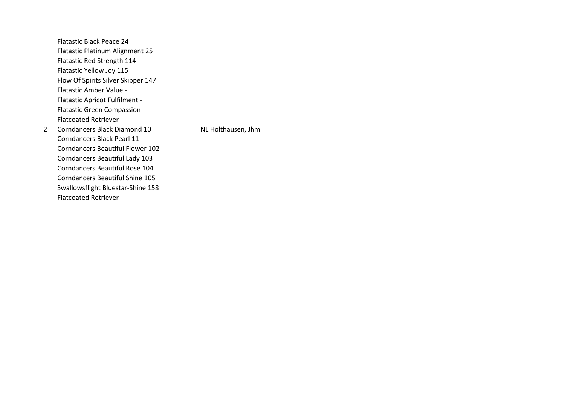Flatastic Black Peace 24 Flatastic Platinum Alignment 25 Flatastic Red Strength 114 Flatastic Yellow Joy 115 Flow Of Spirits Silver Skipper 147 Flatastic Amber Value - Flatastic Apricot Fulfilment - Flatastic Green Compassion - Flatcoated Retriever 2 Corndancers Black Diamond 10 NL Holthausen, Jhm

Corndancers Black Pearl 11 Corndancers Beautiful Flower 102 Corndancers Beautiful Lady 103 Corndancers Beautiful Rose 104 Corndancers Beautiful Shine 105 Swallowsflight Bluestar-Shine 158 Flatcoated Retriever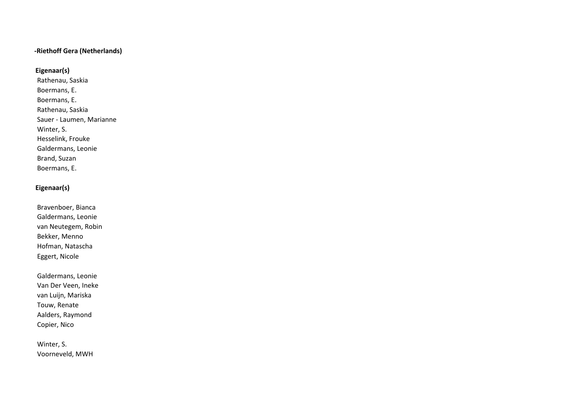#### -Riethoff Gera (Netherlands)

**Eigenaar(s)**

 Rathenau, Saskia Boermans, E. Boermans, E. Rathenau, Saskia Sauer - Laumen, Marianne Winter, S. Hesselink, Frouke Galdermans, Leonie Brand, Suzan Boermans, E.

#### **Eigenaar(s)**

 Bravenboer, Bianca Galdermans, Leonie van Neutegem, Robin Bekker, Menno Hofman, Natascha Eggert, Nicole

 Galdermans, Leonie Van Der Veen, Ineke van Luijn, Mariska Touw, Renate Aalders, Raymond Copier, Nico

 Winter, S. Voorneveld, MWH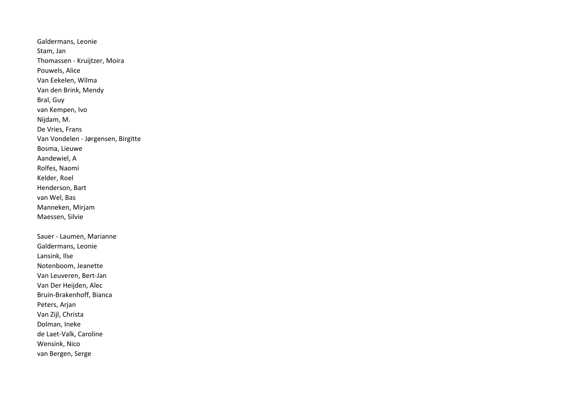Galdermans, Leonie Stam, Jan Thomassen - Kruijtzer, Moira Pouwels, Alice Van Eekelen, Wilma Van den Brink, Mendy Bral, Guy van Kempen, Ivo Nijdam, M. De Vries, Frans Van Vondelen - Jørgensen, Birgitte Bosma, Lieuwe Aandewiel, A Rolfes, Naomi Kelder, Roel Henderson, Bart van Wel, Bas Manneken, Mirjam Maessen, Silvie Sauer - Laumen, Marianne Galdermans, Leonie Lansink, Ilse Notenboom, Jeanette Van Leuveren, Bert-Jan Van Der Heijden, Alec Bruin-Brakenhoff, Bianca Peters, Arjan Van Zijl, Christa Dolman, Ineke de Laet-Valk, Caroline Wensink, Nico van Bergen, Serge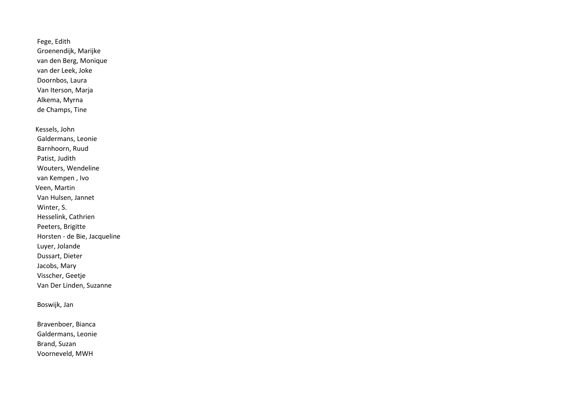Fege, Edith Groenendijk, Marijke van den Berg, Monique van der Leek, Joke Doornbos, Laura Van Iterson, Marja Alkema, Myrna de Champs, Tine

Kessels, John Galdermans, Leonie Barnhoorn, Ruud Patist, Judith Wouters, Wendeline van Kempen , Ivo Veen, Martin Van Hulsen, Jannet Winter, S. Hesselink, Cathrien Peeters, Brigitte Horsten - de Bie, Jacqueline Luyer, Jolande Dussart, Dieter Jacobs, Mary Visscher, Geetje Van Der Linden, Suzanne

#### Boswijk, Jan

 Bravenboer, Bianca Galdermans, Leonie Brand, Suzan Voorneveld, MWH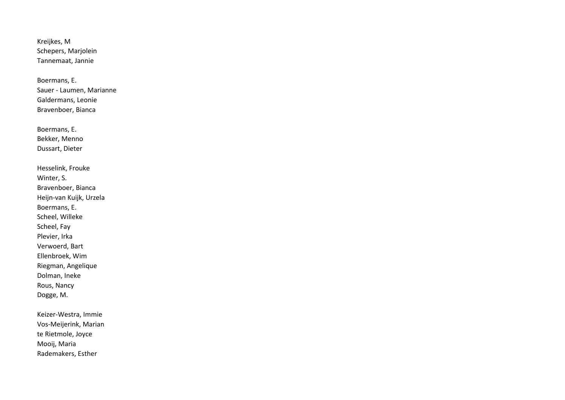Kreijkes, M Schepers, Marjolein Tannemaat, Jannie

 Boermans, E. Sauer - Laumen, Marianne Galdermans, Leonie Bravenboer, Bianca

 Boermans, E. Bekker, Menno Dussart, Dieter

 Hesselink, Frouke Winter, S. Bravenboer, Bianca Heijn-van Kuijk, Urzela Boermans, E. Scheel, Willeke Scheel, Fay Plevier, Irka Verwoerd, Bart Ellenbroek, Wim Riegman, Angelique Dolman, Ineke Rous, Nancy Dogge, M.

 Keizer-Westra, Immie Vos-Meijerink, Marian te Rietmole, Joyce Mooij, Maria Rademakers, Esther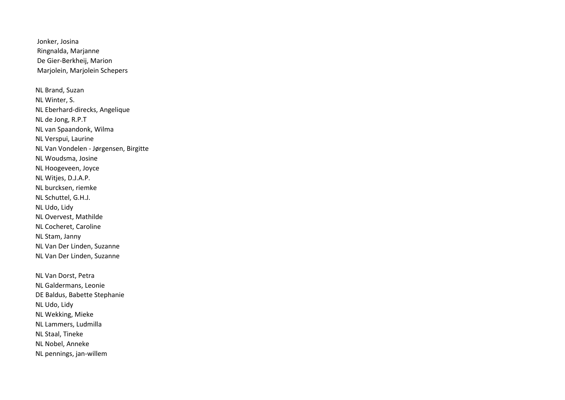Jonker, Josina Ringnalda, Marjanne De Gier-Berkheij, Marion Marjolein, Marjolein Schepers NL Brand, Suzan NL Winter, S. NL Eberhard-direcks, Angelique NL de Jong, R.P.T NL van Spaandonk, Wilma NL Verspui, Laurine NL Van Vondelen - Jørgensen, Birgitte NL Woudsma, Josine NL Hoogeveen, Joyce NL Witjes, D.J.A.P. NL burcksen, riemke NL Schuttel, G.H.J. NL Udo, Lidy NL Overvest, Mathilde NL Cocheret, Caroline NL Stam, Janny NL Van Der Linden, Suzanne NL Van Der Linden, Suzanne

NL Van Dorst, Petra NL Galdermans, Leonie DE Baldus, Babette Stephanie NL Udo, Lidy NL Wekking, Mieke NL Lammers, Ludmilla NL Staal, Tineke NL Nobel, Anneke NL pennings, jan-willem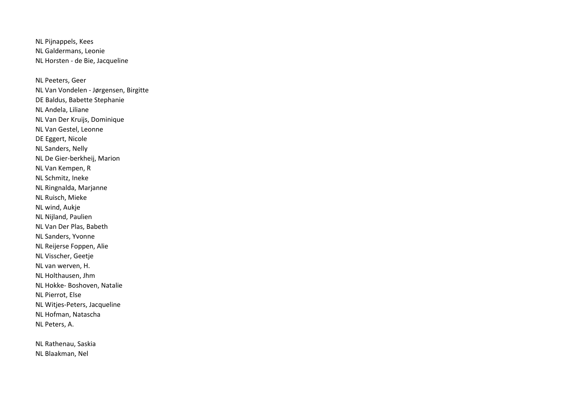NL Pijnappels, Kees NL Galdermans, Leonie NL Horsten - de Bie, Jacqueline

NL Peeters, Geer NL Van Vondelen - Jørgensen, Birgitte DE Baldus, Babette Stephanie NL Andela, Liliane NL Van Der Kruijs, Dominique NL Van Gestel, Leonne DE Eggert, Nicole NL Sanders, Nelly NL De Gier-berkheij, Marion NL Van Kempen, R NL Schmitz, Ineke NL Ringnalda, Marjanne NL Ruisch, Mieke NL wind, Aukje NL Nijland, Paulien NL Van Der Plas, Babeth NL Sanders, Yvonne NL Reijerse Foppen, Alie NL Visscher, Geetje NL van werven, H. NL Holthausen, Jhm NL Hokke- Boshoven, Natalie NL Pierrot, Else NL Witjes-Peters, Jacqueline NL Hofman, Natascha NL Peters, A.

NL Rathenau, Saskia NL Blaakman, Nel